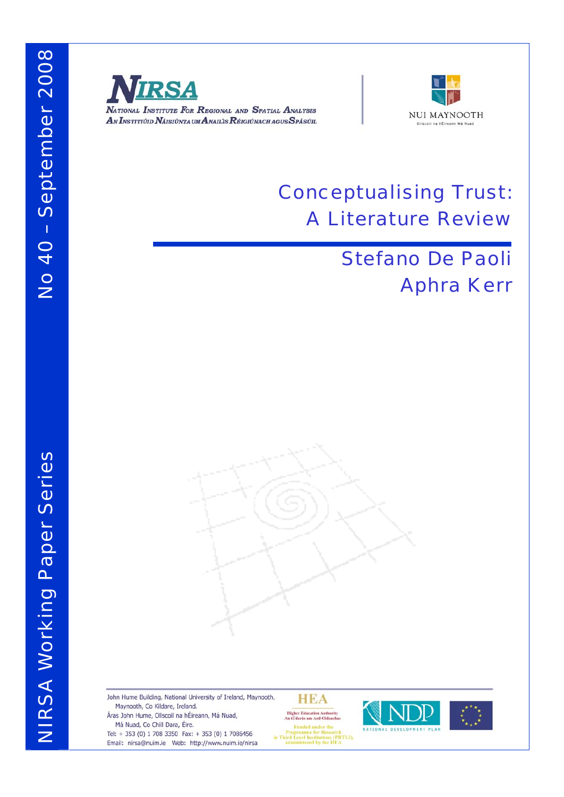NIRSA Working Paper Series

**NIRSA Working Paper Series** 



NATIONAL INSTITUTE FOR REGIONAL AND SPATIAL ANALYSIS AN INSTITIÚID NÁISIÚNTA UM ANAILIS RÉIGIÚNACH AGUS SPÁSÚIL



# Conceptualising Trust: A Literature Review

# Stefano De Paoli Aphra Kerr



John Hume Building, National University of Ireland, Maynooth, Maynooth, Co Kildare, Ireland. Áras John Hume, Ollscoil na hÉireann, Má Nuad, Má Nuad, Co Chill Dara, Éire.

Tel: + 353 (0) 1 708 3350 Fax: + 353 (0) 1 7086456 Email: nirsa@nuim.ie Web: http://www.nuim.ie/nirsa

HEA **Higher Education Authority<br>An tÚdarás um Ard-Oideachas** 



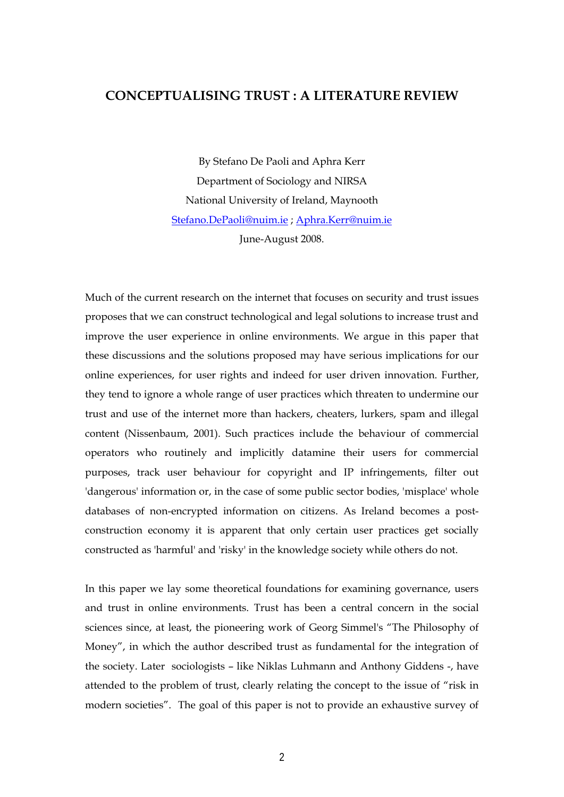## **CONCEPTUALISING TRUST : A LITERATURE REVIEW**

By Stefano De Paoli and Aphra Kerr Department of Sociology and NIRSA National University of Ireland, Maynooth Stefano.DePaoli@nuim.ie ; Aphra.Kerr@nuim.ie June-August 2008.

Much of the current research on the internet that focuses on security and trust issues proposes that we can construct technological and legal solutions to increase trust and improve the user experience in online environments. We argue in this paper that these discussions and the solutions proposed may have serious implications for our online experiences, for user rights and indeed for user driven innovation. Further, they tend to ignore a whole range of user practices which threaten to undermine our trust and use of the internet more than hackers, cheaters, lurkers, spam and illegal content (Nissenbaum, 2001). Such practices include the behaviour of commercial operators who routinely and implicitly datamine their users for commercial purposes, track user behaviour for copyright and IP infringements, filter out 'dangerous' information or, in the case of some public sector bodies, 'misplace' whole databases of non-encrypted information on citizens. As Ireland becomes a postconstruction economy it is apparent that only certain user practices get socially constructed as 'harmful' and 'risky' in the knowledge society while others do not.

In this paper we lay some theoretical foundations for examining governance, users and trust in online environments. Trust has been a central concern in the social sciences since, at least, the pioneering work of Georg Simmel's "The Philosophy of Money", in which the author described trust as fundamental for the integration of the society. Later sociologists – like Niklas Luhmann and Anthony Giddens -, have attended to the problem of trust, clearly relating the concept to the issue of "risk in modern societies". The goal of this paper is not to provide an exhaustive survey of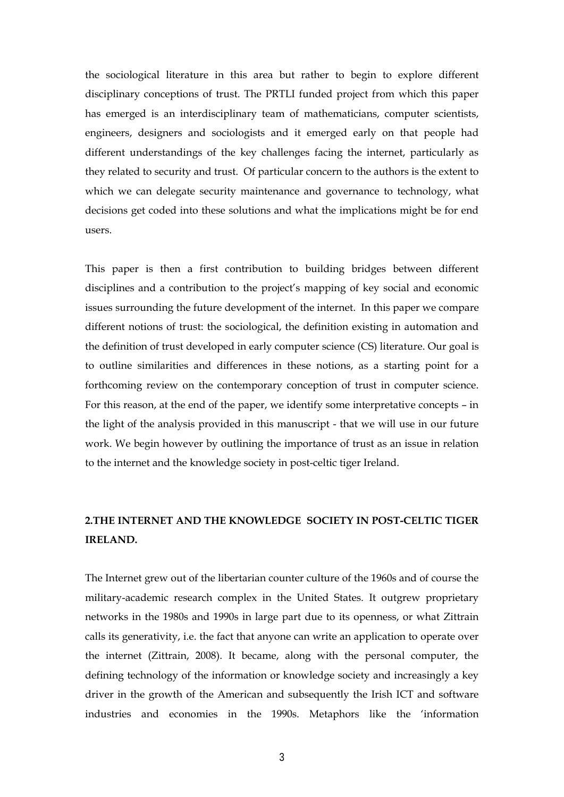the sociological literature in this area but rather to begin to explore different disciplinary conceptions of trust. The PRTLI funded project from which this paper has emerged is an interdisciplinary team of mathematicians, computer scientists, engineers, designers and sociologists and it emerged early on that people had different understandings of the key challenges facing the internet, particularly as they related to security and trust. Of particular concern to the authors is the extent to which we can delegate security maintenance and governance to technology, what decisions get coded into these solutions and what the implications might be for end users.

This paper is then a first contribution to building bridges between different disciplines and a contribution to the project's mapping of key social and economic issues surrounding the future development of the internet. In this paper we compare different notions of trust: the sociological, the definition existing in automation and the definition of trust developed in early computer science (CS) literature. Our goal is to outline similarities and differences in these notions, as a starting point for a forthcoming review on the contemporary conception of trust in computer science. For this reason, at the end of the paper, we identify some interpretative concepts – in the light of the analysis provided in this manuscript - that we will use in our future work. We begin however by outlining the importance of trust as an issue in relation to the internet and the knowledge society in post-celtic tiger Ireland.

## **2.THE INTERNET AND THE KNOWLEDGE SOCIETY IN POST-CELTIC TIGER IRELAND.**

The Internet grew out of the libertarian counter culture of the 1960s and of course the military-academic research complex in the United States. It outgrew proprietary networks in the 1980s and 1990s in large part due to its openness, or what Zittrain calls its generativity, i.e. the fact that anyone can write an application to operate over the internet (Zittrain, 2008). It became, along with the personal computer, the defining technology of the information or knowledge society and increasingly a key driver in the growth of the American and subsequently the Irish ICT and software industries and economies in the 1990s. Metaphors like the 'information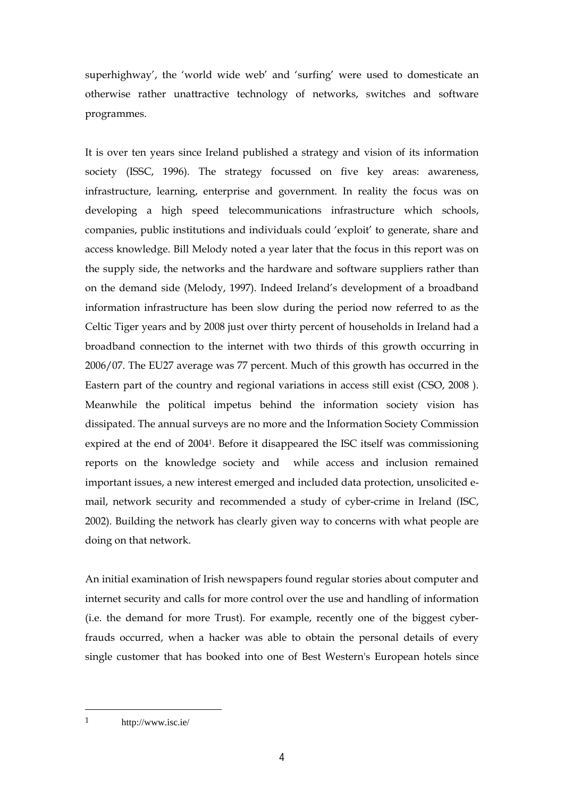superhighway', the 'world wide web' and 'surfing' were used to domesticate an otherwise rather unattractive technology of networks, switches and software programmes.

It is over ten years since Ireland published a strategy and vision of its information society (ISSC, 1996). The strategy focussed on five key areas: awareness, infrastructure, learning, enterprise and government. In reality the focus was on developing a high speed telecommunications infrastructure which schools, companies, public institutions and individuals could 'exploit' to generate, share and access knowledge. Bill Melody noted a year later that the focus in this report was on the supply side, the networks and the hardware and software suppliers rather than on the demand side (Melody, 1997). Indeed Ireland's development of a broadband information infrastructure has been slow during the period now referred to as the Celtic Tiger years and by 2008 just over thirty percent of households in Ireland had a broadband connection to the internet with two thirds of this growth occurring in 2006/07. The EU27 average was 77 percent. Much of this growth has occurred in the Eastern part of the country and regional variations in access still exist (CSO, 2008 ). Meanwhile the political impetus behind the information society vision has dissipated. The annual surveys are no more and the Information Society Commission expired at the end of 20041. Before it disappeared the ISC itself was commissioning reports on the knowledge society and while access and inclusion remained important issues, a new interest emerged and included data protection, unsolicited email, network security and recommended a study of cyber-crime in Ireland (ISC, 2002). Building the network has clearly given way to concerns with what people are doing on that network.

An initial examination of Irish newspapers found regular stories about computer and internet security and calls for more control over the use and handling of information (i.e. the demand for more Trust). For example, recently one of the biggest cyberfrauds occurred, when a hacker was able to obtain the personal details of every single customer that has booked into one of Best Western's European hotels since

1 http://www.isc.ie/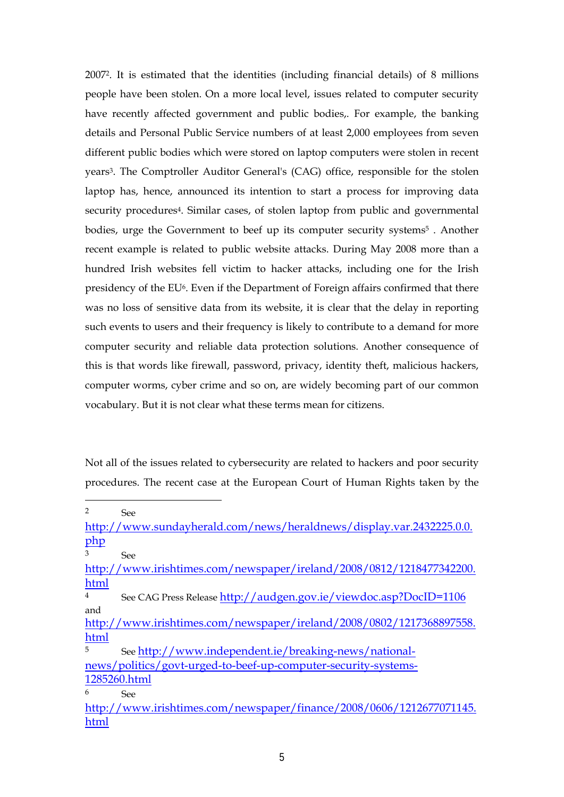20072. It is estimated that the identities (including financial details) of 8 millions people have been stolen. On a more local level, issues related to computer security have recently affected government and public bodies,. For example, the banking details and Personal Public Service numbers of at least 2,000 employees from seven different public bodies which were stored on laptop computers were stolen in recent years3. The Comptroller Auditor General's (CAG) office, responsible for the stolen laptop has, hence, announced its intention to start a process for improving data security procedures4. Similar cases, of stolen laptop from public and governmental bodies, urge the Government to beef up its computer security systems<sup>5</sup>. Another recent example is related to public website attacks. During May 2008 more than a hundred Irish websites fell victim to hacker attacks, including one for the Irish presidency of the EU<sup>6</sup>. Even if the Department of Foreign affairs confirmed that there was no loss of sensitive data from its website, it is clear that the delay in reporting such events to users and their frequency is likely to contribute to a demand for more computer security and reliable data protection solutions. Another consequence of this is that words like firewall, password, privacy, identity theft, malicious hackers, computer worms, cyber crime and so on, are widely becoming part of our common vocabulary. But it is not clear what these terms mean for citizens.

Not all of the issues related to cybersecurity are related to hackers and poor security procedures. The recent case at the European Court of Human Rights taken by the

http://www.sundayherald.com/news/heraldnews/display.var.2432225.0.0. php

<sup>3</sup> See

<sup>2</sup> See

http://www.irishtimes.com/newspaper/ireland/2008/0812/1218477342200. html

<sup>4</sup> See CAG Press Release http://audgen.gov.ie/viewdoc.asp?DocID=1106 and

http://www.irishtimes.com/newspaper/ireland/2008/0802/1217368897558. html

<sup>5</sup> See http://www.independent.ie/breaking-news/nationalnews/politics/govt-urged-to-beef-up-computer-security-systems-1285260.html <sup>6</sup> See

http://www.irishtimes.com/newspaper/finance/2008/0606/1212677071145. html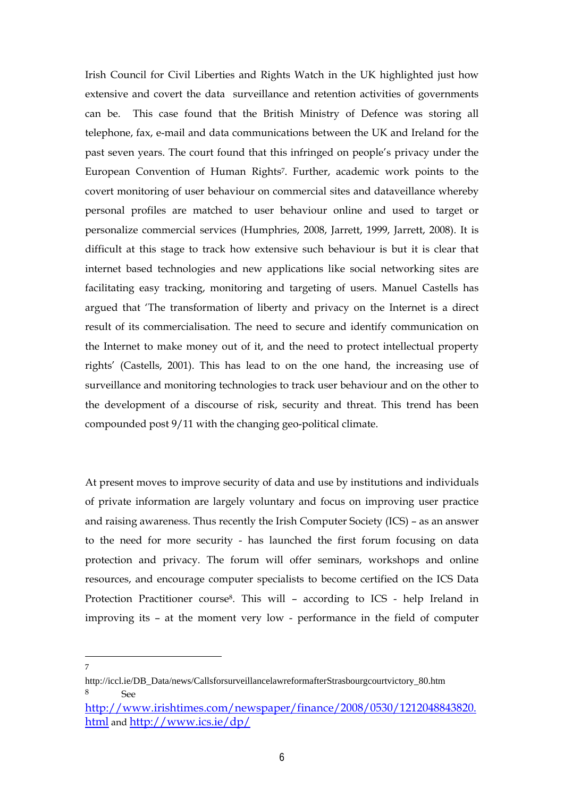Irish Council for Civil Liberties and Rights Watch in the UK highlighted just how extensive and covert the data surveillance and retention activities of governments can be. This case found that the British Ministry of Defence was storing all telephone, fax, e-mail and data communications between the UK and Ireland for the past seven years. The court found that this infringed on people's privacy under the European Convention of Human Rights7. Further, academic work points to the covert monitoring of user behaviour on commercial sites and dataveillance whereby personal profiles are matched to user behaviour online and used to target or personalize commercial services (Humphries, 2008, Jarrett, 1999, Jarrett, 2008). It is difficult at this stage to track how extensive such behaviour is but it is clear that internet based technologies and new applications like social networking sites are facilitating easy tracking, monitoring and targeting of users. Manuel Castells has argued that 'The transformation of liberty and privacy on the Internet is a direct result of its commercialisation. The need to secure and identify communication on the Internet to make money out of it, and the need to protect intellectual property rights' (Castells, 2001). This has lead to on the one hand, the increasing use of surveillance and monitoring technologies to track user behaviour and on the other to the development of a discourse of risk, security and threat. This trend has been compounded post 9/11 with the changing geo-political climate.

At present moves to improve security of data and use by institutions and individuals of private information are largely voluntary and focus on improving user practice and raising awareness. Thus recently the Irish Computer Society (ICS) – as an answer to the need for more security - has launched the first forum focusing on data protection and privacy. The forum will offer seminars, workshops and online resources, and encourage computer specialists to become certified on the ICS Data Protection Practitioner course8. This will – according to ICS - help Ireland in improving its – at the moment very low - performance in the field of computer

http://iccl.ie/DB\_Data/news/CallsforsurveillancelawreformafterStrasbourgcourtvictory\_80.htm <sup>8</sup> See

http://www.irishtimes.com/newspaper/finance/2008/0530/1212048843820. html and http://www.ics.ie/dp/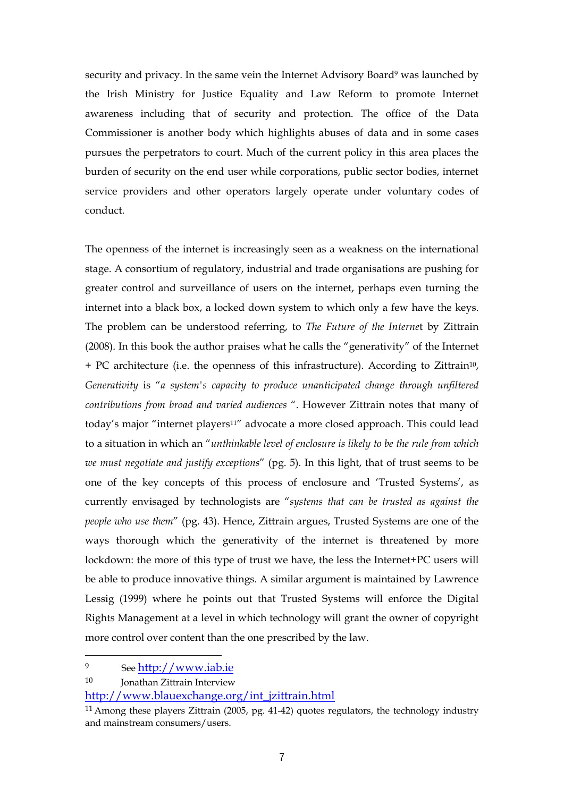security and privacy. In the same vein the Internet Advisory Board<sup>9</sup> was launched by the Irish Ministry for Justice Equality and Law Reform to promote Internet awareness including that of security and protection. The office of the Data Commissioner is another body which highlights abuses of data and in some cases pursues the perpetrators to court. Much of the current policy in this area places the burden of security on the end user while corporations, public sector bodies, internet service providers and other operators largely operate under voluntary codes of conduct.

The openness of the internet is increasingly seen as a weakness on the international stage. A consortium of regulatory, industrial and trade organisations are pushing for greater control and surveillance of users on the internet, perhaps even turning the internet into a black box, a locked down system to which only a few have the keys. The problem can be understood referring, to *The Future of the Interne*t by Zittrain (2008). In this book the author praises what he calls the "generativity" of the Internet + PC architecture (i.e. the openness of this infrastructure). According to Zittrain10, *Generativity* is "*a system's capacity to produce unanticipated change through unfiltered contributions from broad and varied audiences* ". However Zittrain notes that many of today's major "internet players<sup>11"</sup> advocate a more closed approach. This could lead to a situation in which an "*unthinkable level of enclosure is likely to be the rule from which we must negotiate and justify exceptions*" (pg. 5). In this light, that of trust seems to be one of the key concepts of this process of enclosure and 'Trusted Systems', as currently envisaged by technologists are "*systems that can be trusted as against the people who use them*" (pg. 43). Hence, Zittrain argues, Trusted Systems are one of the ways thorough which the generativity of the internet is threatened by more lockdown: the more of this type of trust we have, the less the Internet+PC users will be able to produce innovative things. A similar argument is maintained by Lawrence Lessig (1999) where he points out that Trusted Systems will enforce the Digital Rights Management at a level in which technology will grant the owner of copyright more control over content than the one prescribed by the law.

<sup>9</sup> See http://www.iab.ie

<sup>10</sup> **Jonathan Zittrain Interview** 

http://www.blauexchange.org/int\_jzittrain.html

<sup>11</sup> Among these players Zittrain (2005, pg. 41-42) quotes regulators, the technology industry and mainstream consumers/users.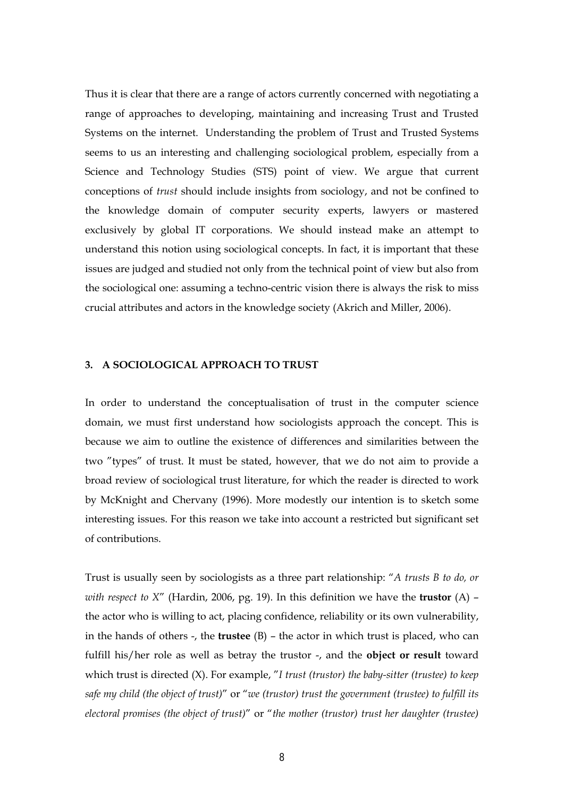Thus it is clear that there are a range of actors currently concerned with negotiating a range of approaches to developing, maintaining and increasing Trust and Trusted Systems on the internet. Understanding the problem of Trust and Trusted Systems seems to us an interesting and challenging sociological problem, especially from a Science and Technology Studies (STS) point of view. We argue that current conceptions of *trust* should include insights from sociology, and not be confined to the knowledge domain of computer security experts, lawyers or mastered exclusively by global IT corporations. We should instead make an attempt to understand this notion using sociological concepts. In fact, it is important that these issues are judged and studied not only from the technical point of view but also from the sociological one: assuming a techno-centric vision there is always the risk to miss crucial attributes and actors in the knowledge society (Akrich and Miller, 2006).

#### **3. A SOCIOLOGICAL APPROACH TO TRUST**

In order to understand the conceptualisation of trust in the computer science domain, we must first understand how sociologists approach the concept. This is because we aim to outline the existence of differences and similarities between the two "types" of trust. It must be stated, however, that we do not aim to provide a broad review of sociological trust literature, for which the reader is directed to work by McKnight and Chervany (1996). More modestly our intention is to sketch some interesting issues. For this reason we take into account a restricted but significant set of contributions.

Trust is usually seen by sociologists as a three part relationship: "*A trusts B to do, or with respect to X*" (Hardin, 2006, pg. 19). In this definition we have the **trustor** (A) – the actor who is willing to act, placing confidence, reliability or its own vulnerability, in the hands of others -, the **trustee** (B) – the actor in which trust is placed, who can fulfill his/her role as well as betray the trustor -, and the **object or result** toward which trust is directed (X). For example, "*I trust (trustor) the baby-sitter (trustee) to keep safe my child (the object of trust)*" or "*we (trustor) trust the government (trustee) to fulfill its electoral promises (the object of trust)*" or "*the mother (trustor) trust her daughter (trustee)*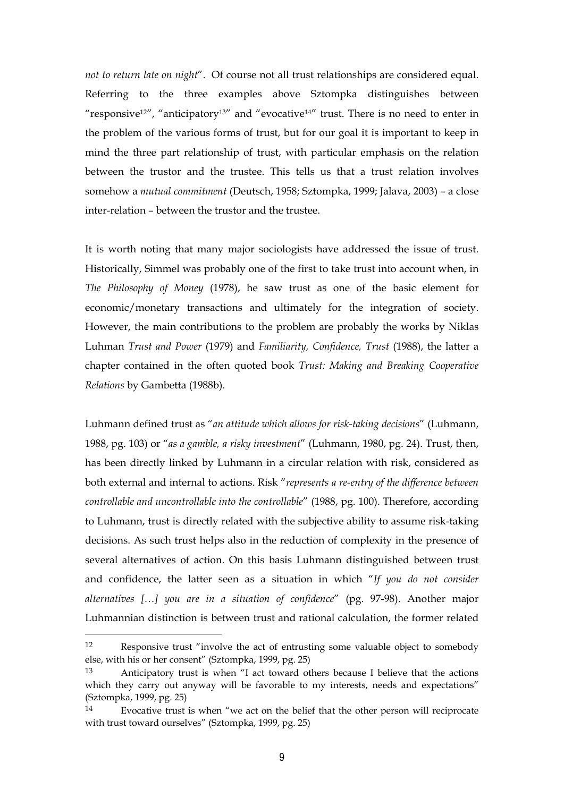*not to return late on night*". Of course not all trust relationships are considered equal. Referring to the three examples above Sztompka distinguishes between "responsive12", "anticipatory13" and "evocative14" trust. There is no need to enter in the problem of the various forms of trust, but for our goal it is important to keep in mind the three part relationship of trust, with particular emphasis on the relation between the trustor and the trustee. This tells us that a trust relation involves somehow a *mutual commitment* (Deutsch, 1958; Sztompka, 1999; Jalava, 2003) – a close inter-relation – between the trustor and the trustee.

It is worth noting that many major sociologists have addressed the issue of trust. Historically, Simmel was probably one of the first to take trust into account when, in *The Philosophy of Money* (1978), he saw trust as one of the basic element for economic/monetary transactions and ultimately for the integration of society. However, the main contributions to the problem are probably the works by Niklas Luhman *Trust and Power* (1979) and *Familiarity, Confidence, Trust* (1988), the latter a chapter contained in the often quoted book *Trust: Making and Breaking Cooperative Relations* by Gambetta (1988b).

Luhmann defined trust as "*an attitude which allows for risk-taking decisions*" (Luhmann, 1988, pg. 103) or "*as a gamble, a risky investment*" (Luhmann, 1980, pg. 24). Trust, then, has been directly linked by Luhmann in a circular relation with risk, considered as both external and internal to actions. Risk "*represents a re-entry of the difference between controllable and uncontrollable into the controllable*" (1988, pg. 100). Therefore, according to Luhmann, trust is directly related with the subjective ability to assume risk-taking decisions. As such trust helps also in the reduction of complexity in the presence of several alternatives of action. On this basis Luhmann distinguished between trust and confidence, the latter seen as a situation in which "*If you do not consider alternatives […] you are in a situation of confidence*" (pg. 97-98). Another major Luhmannian distinction is between trust and rational calculation, the former related

<sup>12</sup> Responsive trust "involve the act of entrusting some valuable object to somebody else, with his or her consent" (Sztompka, 1999, pg. 25)

<sup>13</sup> Anticipatory trust is when "I act toward others because I believe that the actions which they carry out anyway will be favorable to my interests, needs and expectations" (Sztompka, 1999, pg. 25)

<sup>14</sup> Evocative trust is when "we act on the belief that the other person will reciprocate with trust toward ourselves" (Sztompka, 1999, pg. 25)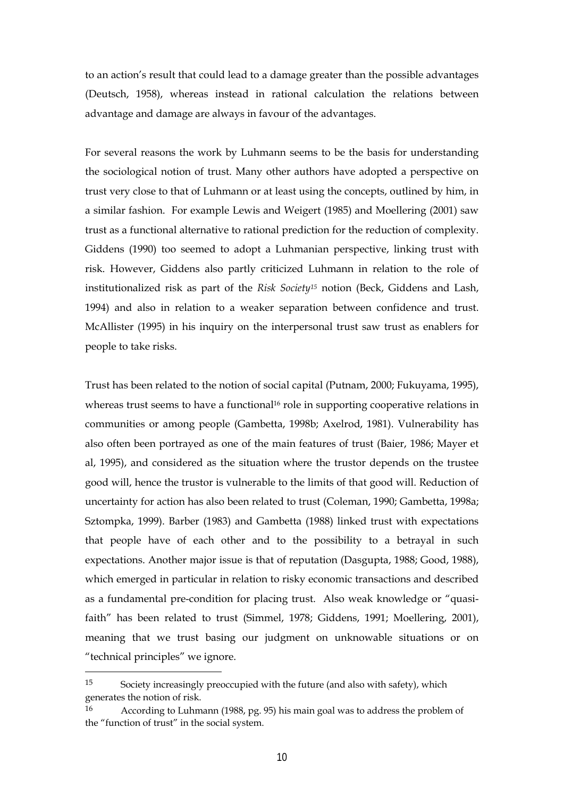to an action's result that could lead to a damage greater than the possible advantages (Deutsch, 1958), whereas instead in rational calculation the relations between advantage and damage are always in favour of the advantages.

For several reasons the work by Luhmann seems to be the basis for understanding the sociological notion of trust. Many other authors have adopted a perspective on trust very close to that of Luhmann or at least using the concepts, outlined by him, in a similar fashion. For example Lewis and Weigert (1985) and Moellering (2001) saw trust as a functional alternative to rational prediction for the reduction of complexity. Giddens (1990) too seemed to adopt a Luhmanian perspective, linking trust with risk. However, Giddens also partly criticized Luhmann in relation to the role of institutionalized risk as part of the *Risk Society15* notion (Beck, Giddens and Lash, 1994) and also in relation to a weaker separation between confidence and trust. McAllister (1995) in his inquiry on the interpersonal trust saw trust as enablers for people to take risks.

Trust has been related to the notion of social capital (Putnam, 2000; Fukuyama, 1995), whereas trust seems to have a functional<sup>16</sup> role in supporting cooperative relations in communities or among people (Gambetta, 1998b; Axelrod, 1981). Vulnerability has also often been portrayed as one of the main features of trust (Baier, 1986; Mayer et al, 1995), and considered as the situation where the trustor depends on the trustee good will, hence the trustor is vulnerable to the limits of that good will. Reduction of uncertainty for action has also been related to trust (Coleman, 1990; Gambetta, 1998a; Sztompka, 1999). Barber (1983) and Gambetta (1988) linked trust with expectations that people have of each other and to the possibility to a betrayal in such expectations. Another major issue is that of reputation (Dasgupta, 1988; Good, 1988), which emerged in particular in relation to risky economic transactions and described as a fundamental pre-condition for placing trust. Also weak knowledge or "quasifaith" has been related to trust (Simmel, 1978; Giddens, 1991; Moellering, 2001), meaning that we trust basing our judgment on unknowable situations or on "technical principles" we ignore.

<sup>15</sup> Society increasingly preoccupied with the future (and also with safety), which generates the notion of risk.

<sup>16</sup> According to Luhmann (1988, pg. 95) his main goal was to address the problem of the "function of trust" in the social system.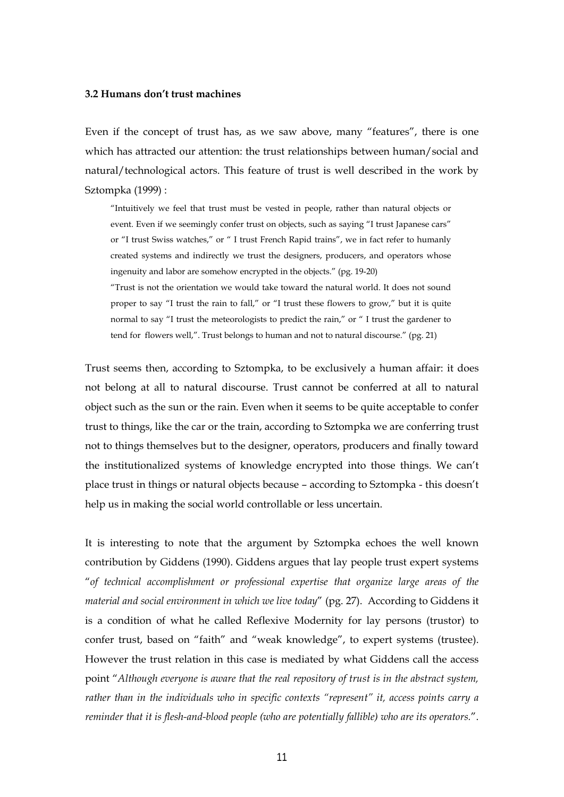#### **3.2 Humans don't trust machines**

Even if the concept of trust has, as we saw above, many "features", there is one which has attracted our attention: the trust relationships between human/social and natural/technological actors. This feature of trust is well described in the work by Sztompka (1999) :

"Intuitively we feel that trust must be vested in people, rather than natural objects or event. Even if we seemingly confer trust on objects, such as saying "I trust Japanese cars" or "I trust Swiss watches," or " I trust French Rapid trains", we in fact refer to humanly created systems and indirectly we trust the designers, producers, and operators whose ingenuity and labor are somehow encrypted in the objects." (pg. 19-20)

"Trust is not the orientation we would take toward the natural world. It does not sound proper to say "I trust the rain to fall," or "I trust these flowers to grow," but it is quite normal to say "I trust the meteorologists to predict the rain," or " I trust the gardener to tend for flowers well,". Trust belongs to human and not to natural discourse." (pg. 21)

Trust seems then, according to Sztompka, to be exclusively a human affair: it does not belong at all to natural discourse. Trust cannot be conferred at all to natural object such as the sun or the rain. Even when it seems to be quite acceptable to confer trust to things, like the car or the train, according to Sztompka we are conferring trust not to things themselves but to the designer, operators, producers and finally toward the institutionalized systems of knowledge encrypted into those things. We can't place trust in things or natural objects because – according to Sztompka - this doesn't help us in making the social world controllable or less uncertain.

It is interesting to note that the argument by Sztompka echoes the well known contribution by Giddens (1990). Giddens argues that lay people trust expert systems "*of technical accomplishment or professional expertise that organize large areas of the material and social environment in which we live today*" (pg. 27). According to Giddens it is a condition of what he called Reflexive Modernity for lay persons (trustor) to confer trust, based on "faith" and "weak knowledge", to expert systems (trustee). However the trust relation in this case is mediated by what Giddens call the access point "*Although everyone is aware that the real repository of trust is in the abstract system, rather than in the individuals who in specific contexts "represent" it, access points carry a reminder that it is flesh-and-blood people (who are potentially fallible) who are its operators.*".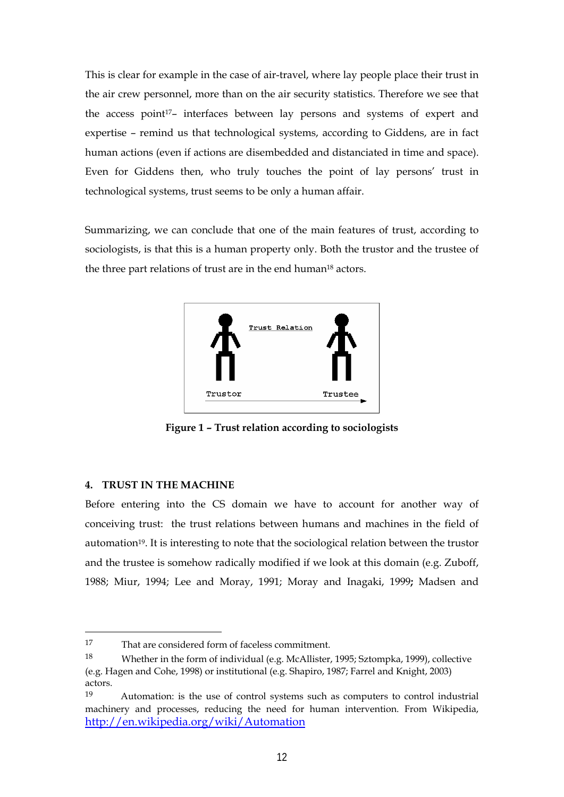This is clear for example in the case of air-travel, where lay people place their trust in the air crew personnel, more than on the air security statistics. Therefore we see that the access point<sup>17</sup>- interfaces between lay persons and systems of expert and expertise – remind us that technological systems, according to Giddens, are in fact human actions (even if actions are disembedded and distanciated in time and space). Even for Giddens then, who truly touches the point of lay persons' trust in technological systems, trust seems to be only a human affair.

Summarizing, we can conclude that one of the main features of trust, according to sociologists, is that this is a human property only. Both the trustor and the trustee of the three part relations of trust are in the end human<sup>18</sup> actors.



**Figure 1 – Trust relation according to sociologists** 

### **4. TRUST IN THE MACHINE**

 $\overline{a}$ 

Before entering into the CS domain we have to account for another way of conceiving trust: the trust relations between humans and machines in the field of automation19. It is interesting to note that the sociological relation between the trustor and the trustee is somehow radically modified if we look at this domain (e.g. Zuboff, 1988; Miur, 1994; Lee and Moray, 1991; Moray and Inagaki, 1999**;** Madsen and

<sup>17</sup> That are considered form of faceless commitment.

<sup>18</sup> Whether in the form of individual (e.g. McAllister, 1995; Sztompka, 1999), collective (e.g. Hagen and Cohe, 1998) or institutional (e.g. Shapiro, 1987; Farrel and Knight, 2003) actors.

<sup>19</sup> Automation: is the use of control systems such as computers to control industrial machinery and processes, reducing the need for human intervention. From Wikipedia, http://en.wikipedia.org/wiki/Automation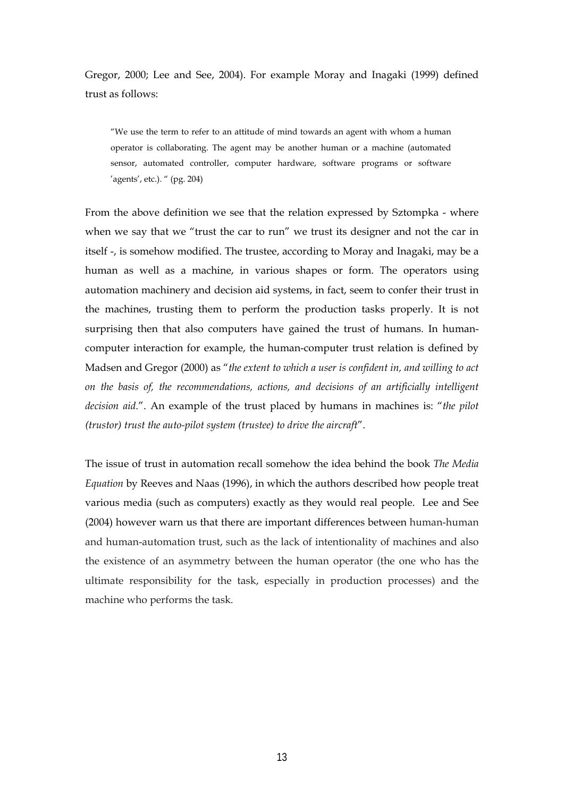Gregor, 2000; Lee and See, 2004). For example Moray and Inagaki (1999) defined trust as follows:

"We use the term to refer to an attitude of mind towards an agent with whom a human operator is collaborating. The agent may be another human or a machine (automated sensor, automated controller, computer hardware, software programs or software 'agents', etc.). " (pg. 204)

From the above definition we see that the relation expressed by Sztompka - where when we say that we "trust the car to run" we trust its designer and not the car in itself -, is somehow modified. The trustee, according to Moray and Inagaki, may be a human as well as a machine, in various shapes or form. The operators using automation machinery and decision aid systems, in fact, seem to confer their trust in the machines, trusting them to perform the production tasks properly. It is not surprising then that also computers have gained the trust of humans. In humancomputer interaction for example, the human-computer trust relation is defined by Madsen and Gregor (2000) as "*the extent to which a user is confident in, and willing to act on the basis of, the recommendations, actions, and decisions of an artificially intelligent decision aid.*". An example of the trust placed by humans in machines is: "*the pilot (trustor) trust the auto-pilot system (trustee) to drive the aircraft*".

The issue of trust in automation recall somehow the idea behind the book *The Media Equation* by Reeves and Naas (1996), in which the authors described how people treat various media (such as computers) exactly as they would real people. Lee and See (2004) however warn us that there are important differences between human-human and human-automation trust, such as the lack of intentionality of machines and also the existence of an asymmetry between the human operator (the one who has the ultimate responsibility for the task, especially in production processes) and the machine who performs the task.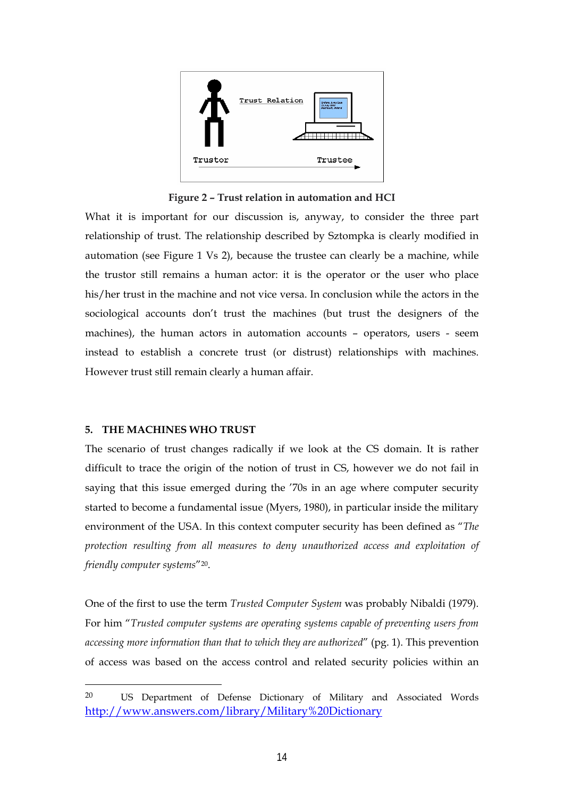

**Figure 2 – Trust relation in automation and HCI** 

What it is important for our discussion is, anyway, to consider the three part relationship of trust. The relationship described by Sztompka is clearly modified in automation (see Figure 1 Vs 2), because the trustee can clearly be a machine, while the trustor still remains a human actor: it is the operator or the user who place his/her trust in the machine and not vice versa. In conclusion while the actors in the sociological accounts don't trust the machines (but trust the designers of the machines), the human actors in automation accounts – operators, users - seem instead to establish a concrete trust (or distrust) relationships with machines. However trust still remain clearly a human affair.

#### **5. THE MACHINES WHO TRUST**

 $\overline{a}$ 

The scenario of trust changes radically if we look at the CS domain. It is rather difficult to trace the origin of the notion of trust in CS, however we do not fail in saying that this issue emerged during the '70s in an age where computer security started to become a fundamental issue (Myers, 1980), in particular inside the military environment of the USA. In this context computer security has been defined as "*The protection resulting from all measures to deny unauthorized access and exploitation of friendly computer systems*"20.

One of the first to use the term *Trusted Computer System* was probably Nibaldi (1979). For him "*Trusted computer systems are operating systems capable of preventing users from accessing more information than that to which they are authorized*" (pg. 1). This prevention of access was based on the access control and related security policies within an

<sup>20</sup> US Department of Defense Dictionary of Military and Associated Words http://www.answers.com/library/Military%20Dictionary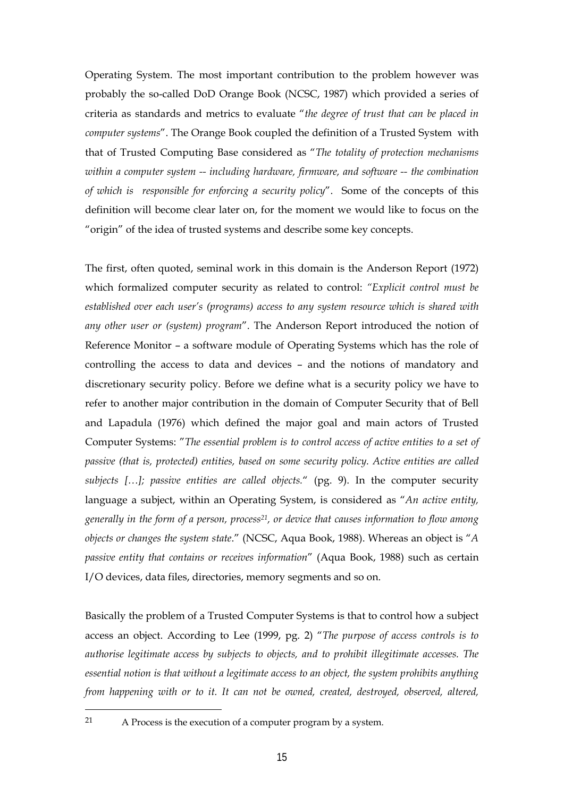Operating System. The most important contribution to the problem however was probably the so-called DoD Orange Book (NCSC, 1987) which provided a series of criteria as standards and metrics to evaluate "*the degree of trust that can be placed in computer systems*". The Orange Book coupled the definition of a Trusted System with that of Trusted Computing Base considered as "*The totality of protection mechanisms within a computer system -- including hardware, firmware, and software -- the combination of which is responsible for enforcing a security policy*". Some of the concepts of this definition will become clear later on, for the moment we would like to focus on the "origin" of the idea of trusted systems and describe some key concepts.

The first, often quoted, seminal work in this domain is the Anderson Report (1972) which formalized computer security as related to control: *"Explicit control must be established over each user's (programs) access to any system resource which is shared with any other user or (system) program*". The Anderson Report introduced the notion of Reference Monitor – a software module of Operating Systems which has the role of controlling the access to data and devices – and the notions of mandatory and discretionary security policy. Before we define what is a security policy we have to refer to another major contribution in the domain of Computer Security that of Bell and Lapadula (1976) which defined the major goal and main actors of Trusted Computer Systems: "*The essential problem is to control access of active entities to a set of passive (that is, protected) entities, based on some security policy. Active entities are called subjects […]; passive entities are called objects.*" (pg. 9). In the computer security language a subject, within an Operating System, is considered as "*An active entity, generally in the form of a person, process21, or device that causes information to flow among objects or changes the system state*." (NCSC, Aqua Book, 1988). Whereas an object is "*A passive entity that contains or receives information*" (Aqua Book, 1988) such as certain I/O devices, data files, directories, memory segments and so on.

Basically the problem of a Trusted Computer Systems is that to control how a subject access an object. According to Lee (1999, pg. 2) "*The purpose of access controls is to authorise legitimate access by subjects to objects, and to prohibit illegitimate accesses. The essential notion is that without a legitimate access to an object, the system prohibits anything from happening with or to it. It can not be owned, created, destroyed, observed, altered,* 

<sup>21</sup> A Process is the execution of a computer program by a system.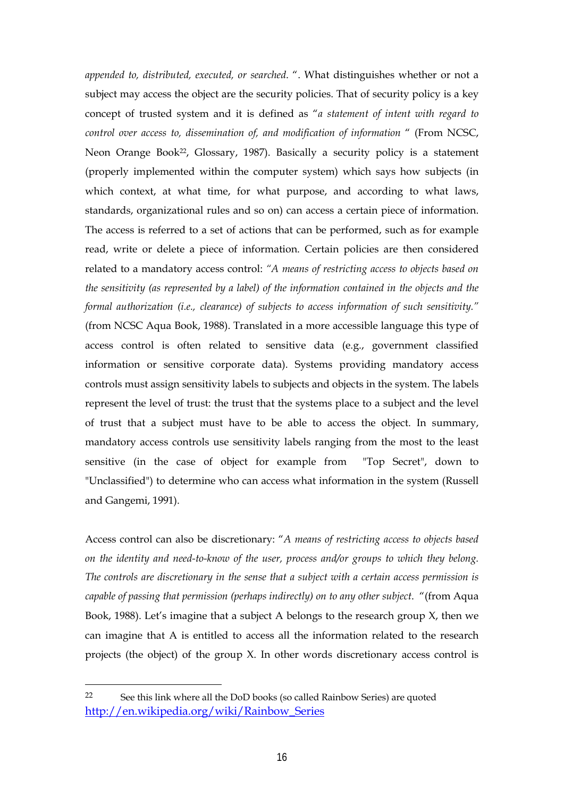*appended to, distributed, executed, or searched*. ". What distinguishes whether or not a subject may access the object are the security policies. That of security policy is a key concept of trusted system and it is defined as "*a statement of intent with regard to control over access to, dissemination of, and modification of information* " (From NCSC, Neon Orange Book<sup>22</sup>, Glossary, 1987). Basically a security policy is a statement (properly implemented within the computer system) which says how subjects (in which context, at what time, for what purpose, and according to what laws, standards, organizational rules and so on) can access a certain piece of information. The access is referred to a set of actions that can be performed, such as for example read, write or delete a piece of information. Certain policies are then considered related to a mandatory access control: *"A means of restricting access to objects based on the sensitivity (as represented by a label) of the information contained in the objects and the formal authorization (i.e., clearance) of subjects to access information of such sensitivity."*  (from NCSC Aqua Book, 1988). Translated in a more accessible language this type of access control is often related to sensitive data (e.g., government classified information or sensitive corporate data). Systems providing mandatory access controls must assign sensitivity labels to subjects and objects in the system. The labels represent the level of trust: the trust that the systems place to a subject and the level of trust that a subject must have to be able to access the object. In summary, mandatory access controls use sensitivity labels ranging from the most to the least sensitive (in the case of object for example from "Top Secret", down to "Unclassified") to determine who can access what information in the system (Russell and Gangemi, 1991).

Access control can also be discretionary: "*A means of restricting access to objects based on the identity and need-to-know of the user, process and/or groups to which they belong. The controls are discretionary in the sense that a subject with a certain access permission is capable of passing that permission (perhaps indirectly) on to any other subject*. "(from Aqua Book, 1988). Let's imagine that a subject A belongs to the research group X, then we can imagine that A is entitled to access all the information related to the research projects (the object) of the group X. In other words discretionary access control is

<sup>22</sup> See this link where all the DoD books (so called Rainbow Series) are quoted http://en.wikipedia.org/wiki/Rainbow\_Series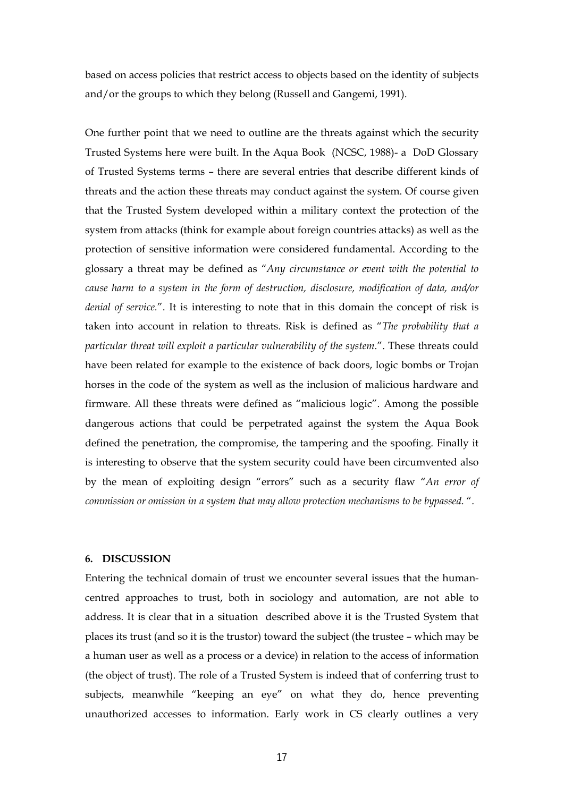based on access policies that restrict access to objects based on the identity of subjects and/or the groups to which they belong (Russell and Gangemi, 1991).

One further point that we need to outline are the threats against which the security Trusted Systems here were built. In the Aqua Book (NCSC, 1988)- a DoD Glossary of Trusted Systems terms – there are several entries that describe different kinds of threats and the action these threats may conduct against the system. Of course given that the Trusted System developed within a military context the protection of the system from attacks (think for example about foreign countries attacks) as well as the protection of sensitive information were considered fundamental. According to the glossary a threat may be defined as "*Any circumstance or event with the potential to cause harm to a system in the form of destruction, disclosure, modification of data, and/or denial of service.*". It is interesting to note that in this domain the concept of risk is taken into account in relation to threats. Risk is defined as "*The probability that a particular threat will exploit a particular vulnerability of the system*.". These threats could have been related for example to the existence of back doors, logic bombs or Trojan horses in the code of the system as well as the inclusion of malicious hardware and firmware. All these threats were defined as "malicious logic". Among the possible dangerous actions that could be perpetrated against the system the Aqua Book defined the penetration, the compromise, the tampering and the spoofing. Finally it is interesting to observe that the system security could have been circumvented also by the mean of exploiting design "errors" such as a security flaw "*An error of commission or omission in a system that may allow protection mechanisms to be bypassed*. ".

#### **6. DISCUSSION**

Entering the technical domain of trust we encounter several issues that the humancentred approaches to trust, both in sociology and automation, are not able to address. It is clear that in a situation described above it is the Trusted System that places its trust (and so it is the trustor) toward the subject (the trustee – which may be a human user as well as a process or a device) in relation to the access of information (the object of trust). The role of a Trusted System is indeed that of conferring trust to subjects, meanwhile "keeping an eye" on what they do, hence preventing unauthorized accesses to information. Early work in CS clearly outlines a very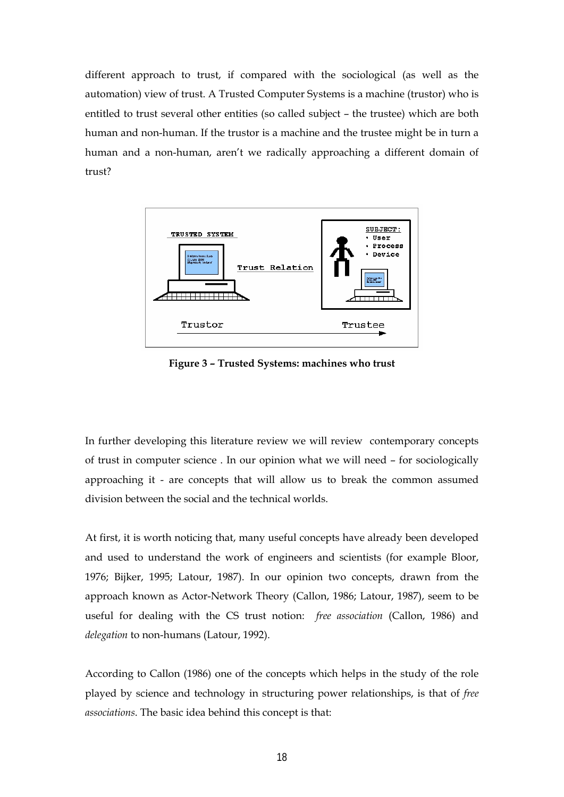different approach to trust, if compared with the sociological (as well as the automation) view of trust. A Trusted Computer Systems is a machine (trustor) who is entitled to trust several other entities (so called subject – the trustee) which are both human and non-human. If the trustor is a machine and the trustee might be in turn a human and a non-human, aren't we radically approaching a different domain of trust?



**Figure 3 – Trusted Systems: machines who trust** 

In further developing this literature review we will review contemporary concepts of trust in computer science . In our opinion what we will need – for sociologically approaching it - are concepts that will allow us to break the common assumed division between the social and the technical worlds.

At first, it is worth noticing that, many useful concepts have already been developed and used to understand the work of engineers and scientists (for example Bloor, 1976; Bijker, 1995; Latour, 1987). In our opinion two concepts, drawn from the approach known as Actor-Network Theory (Callon, 1986; Latour, 1987), seem to be useful for dealing with the CS trust notion: *free association* (Callon, 1986) and *delegation* to non-humans (Latour, 1992).

According to Callon (1986) one of the concepts which helps in the study of the role played by science and technology in structuring power relationships, is that of *free associations*. The basic idea behind this concept is that: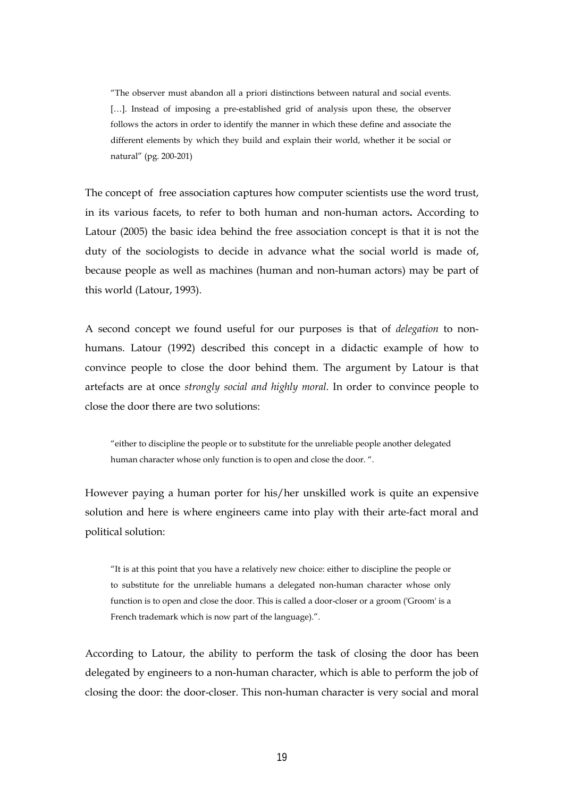"The observer must abandon all a priori distinctions between natural and social events. [...]. Instead of imposing a pre-established grid of analysis upon these, the observer follows the actors in order to identify the manner in which these define and associate the different elements by which they build and explain their world, whether it be social or natural" (pg. 200-201)

The concept of free association captures how computer scientists use the word trust, in its various facets, to refer to both human and non-human actors**.** According to Latour (2005) the basic idea behind the free association concept is that it is not the duty of the sociologists to decide in advance what the social world is made of, because people as well as machines (human and non-human actors) may be part of this world (Latour, 1993).

A second concept we found useful for our purposes is that of *delegation* to nonhumans. Latour (1992) described this concept in a didactic example of how to convince people to close the door behind them. The argument by Latour is that artefacts are at once *strongly social and highly moral*. In order to convince people to close the door there are two solutions:

"either to discipline the people or to substitute for the unreliable people another delegated human character whose only function is to open and close the door. ".

However paying a human porter for his/her unskilled work is quite an expensive solution and here is where engineers came into play with their arte-fact moral and political solution:

"It is at this point that you have a relatively new choice: either to discipline the people or to substitute for the unreliable humans a delegated non-human character whose only function is to open and close the door. This is called a door-closer or a groom ('Groom' is a French trademark which is now part of the language).".

According to Latour, the ability to perform the task of closing the door has been delegated by engineers to a non-human character, which is able to perform the job of closing the door: the door-closer. This non-human character is very social and moral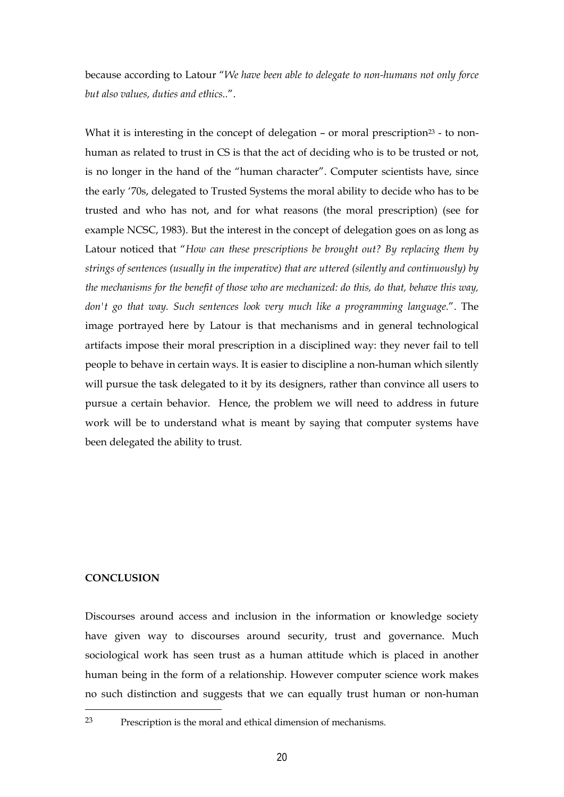because according to Latour "*We have been able to delegate to non-humans not only force but also values, duties and ethics..*".

What it is interesting in the concept of delegation – or moral prescription<sup>23</sup> - to nonhuman as related to trust in CS is that the act of deciding who is to be trusted or not, is no longer in the hand of the "human character". Computer scientists have, since the early '70s, delegated to Trusted Systems the moral ability to decide who has to be trusted and who has not, and for what reasons (the moral prescription) (see for example NCSC, 1983). But the interest in the concept of delegation goes on as long as Latour noticed that "*How can these prescriptions be brought out? By replacing them by strings of sentences (usually in the imperative) that are uttered (silently and continuously) by the mechanisms for the benefit of those who are mechanized: do this, do that, behave this way, don't go that way. Such sentences look very much like a programming language.*". The image portrayed here by Latour is that mechanisms and in general technological artifacts impose their moral prescription in a disciplined way: they never fail to tell people to behave in certain ways. It is easier to discipline a non-human which silently will pursue the task delegated to it by its designers, rather than convince all users to pursue a certain behavior. Hence, the problem we will need to address in future work will be to understand what is meant by saying that computer systems have been delegated the ability to trust.

### **CONCLUSION**

Discourses around access and inclusion in the information or knowledge society have given way to discourses around security, trust and governance. Much sociological work has seen trust as a human attitude which is placed in another human being in the form of a relationship. However computer science work makes no such distinction and suggests that we can equally trust human or non-human

 $23$  Prescription is the moral and ethical dimension of mechanisms.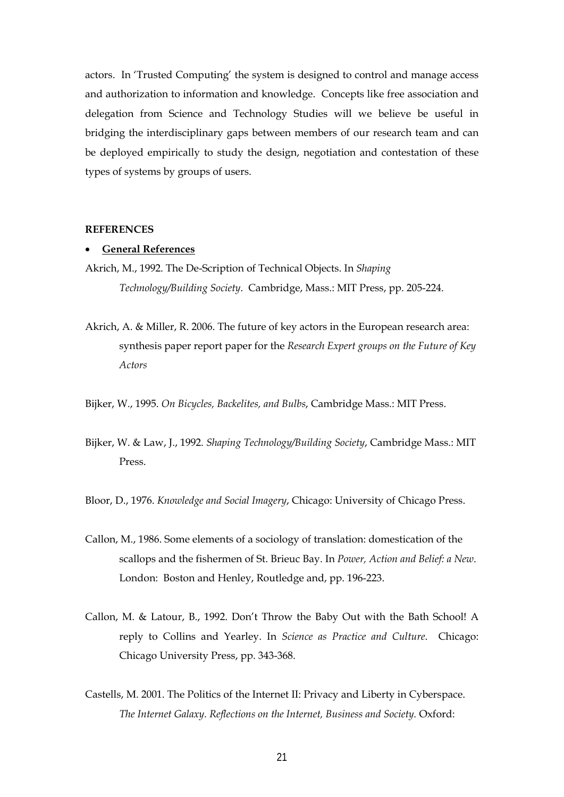actors. In 'Trusted Computing' the system is designed to control and manage access and authorization to information and knowledge. Concepts like free association and delegation from Science and Technology Studies will we believe be useful in bridging the interdisciplinary gaps between members of our research team and can be deployed empirically to study the design, negotiation and contestation of these types of systems by groups of users.

#### **REFERENCES**

#### **General References**

- Akrich, M., 1992. The De-Scription of Technical Objects. In *Shaping Technology/Building Society*. Cambridge, Mass.: MIT Press, pp. 205-224.
- Akrich, A. & Miller, R. 2006. The future of key actors in the European research area: synthesis paper report paper for the *Research Expert groups on the Future of Key Actors*

Bijker, W., 1995. *On Bicycles, Backelites, and Bulbs*, Cambridge Mass.: MIT Press.

- Bijker, W. & Law, J., 1992. *Shaping Technology/Building Society*, Cambridge Mass.: MIT Press.
- Bloor, D., 1976. *Knowledge and Social Imagery*, Chicago: University of Chicago Press.
- Callon, M., 1986. Some elements of a sociology of translation: domestication of the scallops and the fishermen of St. Brieuc Bay. In *Power, Action and Belief: a New*. London: Boston and Henley, Routledge and, pp. 196-223.
- Callon, M. & Latour, B., 1992. Don't Throw the Baby Out with the Bath School! A reply to Collins and Yearley. In *Science as Practice and Culture*. Chicago: Chicago University Press, pp. 343-368.
- Castells, M. 2001. The Politics of the Internet II: Privacy and Liberty in Cyberspace. *The Internet Galaxy. Reflections on the Internet, Business and Society.* Oxford: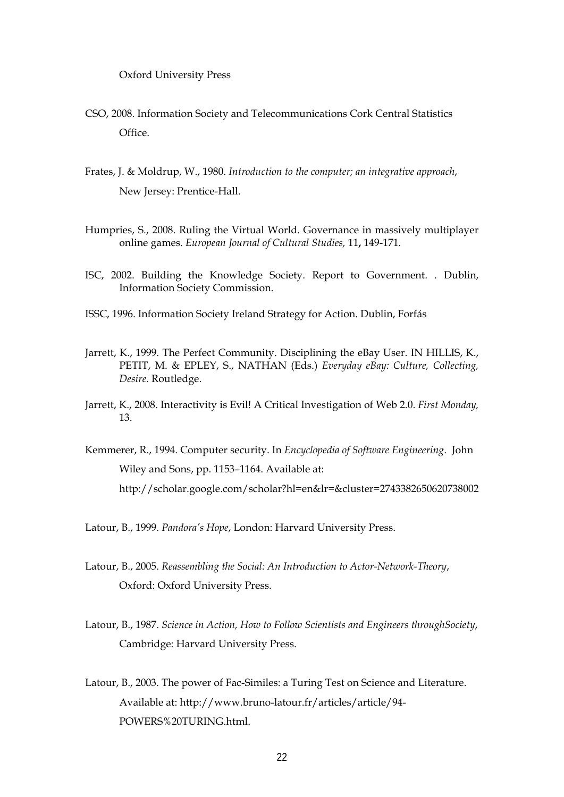Oxford University Press

- CSO, 2008. Information Society and Telecommunications Cork Central Statistics Office.
- Frates, J. & Moldrup, W., 1980. *Introduction to the computer; an integrative approach*, New Jersey: Prentice-Hall.
- Humpries, S., 2008. Ruling the Virtual World. Governance in massively multiplayer online games. *European Journal of Cultural Studies,* 11**,** 149-171.
- ISC, 2002. Building the Knowledge Society. Report to Government. . Dublin, Information Society Commission.
- ISSC, 1996. Information Society Ireland Strategy for Action. Dublin, Forfás
- Jarrett, K., 1999. The Perfect Community. Disciplining the eBay User. IN HILLIS, K., PETIT, M. & EPLEY, S., NATHAN (Eds.) *Everyday eBay: Culture, Collecting, Desire.* Routledge.
- Jarrett, K., 2008. Interactivity is Evil! A Critical Investigation of Web 2.0. *First Monday,* 13.
- Kemmerer, R., 1994. Computer security. In *Encyclopedia of Software Engineering*. John Wiley and Sons, pp. 1153–1164. Available at: http://scholar.google.com/scholar?hl=en&lr=&cluster=2743382650620738002
- Latour, B., 1999. *Pandora's Hope*, London: Harvard University Press.
- Latour, B., 2005. *Reassembling the Social: An Introduction to Actor-Network-Theory*, Oxford: Oxford University Press.
- Latour, B., 1987. *Science in Action, How to Follow Scientists and Engineers throughSociety*, Cambridge: Harvard University Press.
- Latour, B., 2003. The power of Fac-Similes: a Turing Test on Science and Literature. Available at: http://www.bruno-latour.fr/articles/article/94- POWERS%20TURING.html.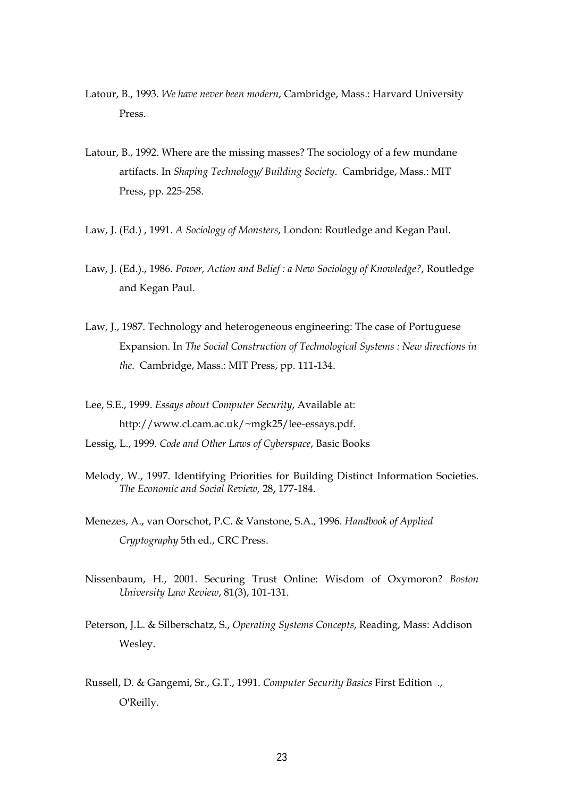- Latour, B., 1993. *We have never been modern*, Cambridge, Mass.: Harvard University Press.
- Latour, B., 1992. Where are the missing masses? The sociology of a few mundane artifacts. In *Shaping Technology/ Building Society*. Cambridge, Mass.: MIT Press, pp. 225-258.
- Law, J. (Ed.) , 1991. *A Sociology of Monsters*, London: Routledge and Kegan Paul.
- Law, J. (Ed.)., 1986. *Power, Action and Belief : a New Sociology of Knowledge?*, Routledge and Kegan Paul.
- Law, J., 1987. Technology and heterogeneous engineering: The case of Portuguese Expansion. In *The Social Construction of Technological Systems : New directions in the*. Cambridge, Mass.: MIT Press, pp. 111-134.
- Lee, S.E., 1999. *Essays about Computer Security*, Available at: http://www.cl.cam.ac.uk/~mgk25/lee-essays.pdf.
- Lessig, L., 1999. *Code and Other Laws of Cyberspace*, Basic Books
- Melody, W., 1997. Identifying Priorities for Building Distinct Information Societies. *The Economic and Social Review,* 28**,** 177-184.
- Menezes, A., van Oorschot, P.C. & Vanstone, S.A., 1996. *Handbook of Applied Cryptography* 5th ed., CRC Press.
- Nissenbaum, H., 2001. Securing Trust Online: Wisdom of Oxymoron? *Boston University Law Review*, 81(3), 101-131.
- Peterson, J.L. & Silberschatz, S., *Operating Systems Concepts*, Reading, Mass: Addison Wesley.
- Russell, D. & Gangemi, Sr., G.T., 1991. *Computer Security Basics* First Edition ., O'Reilly.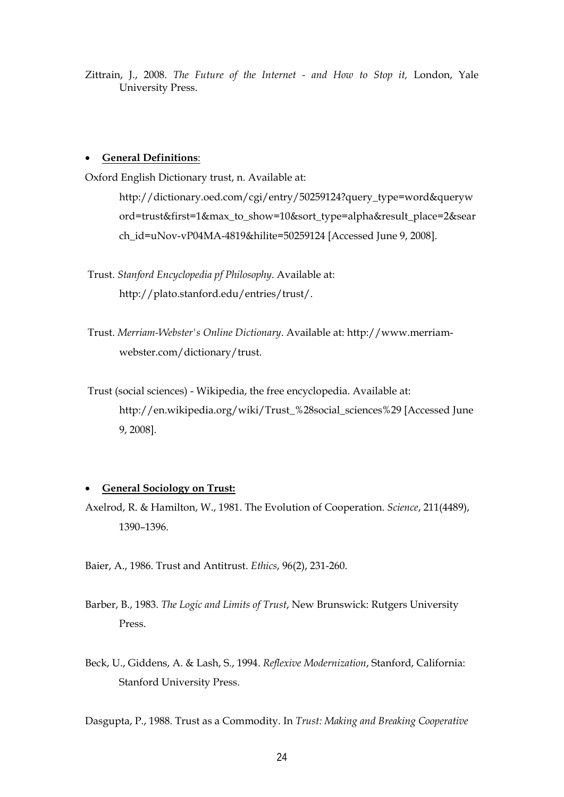Zittrain, J., 2008. *The Future of the Internet - and How to Stop it,* London, Yale University Press.

#### **General Definitions**:

Oxford English Dictionary trust, n. Available at:

http://dictionary.oed.com/cgi/entry/50259124?query\_type=word&queryw ord=trust&first=1&max\_to\_show=10&sort\_type=alpha&result\_place=2&sear ch\_id=uNov-vP04MA-4819&hilite=50259124 [Accessed June 9, 2008].

 Trust. *Stanford Encyclopedia pf Philosophy*. Available at: http://plato.stanford.edu/entries/trust/.

 Trust. *Merriam-Webster's Online Dictionary*. Available at: http://www.merriamwebster.com/dictionary/trust.

 Trust (social sciences) - Wikipedia, the free encyclopedia. Available at: http://en.wikipedia.org/wiki/Trust\_%28social\_sciences%29 [Accessed June 9, 2008].

#### **General Sociology on Trust:**

Axelrod, R. & Hamilton, W., 1981. The Evolution of Cooperation. *Science*, 211(4489), 1390–1396.

Baier, A., 1986. Trust and Antitrust. *Ethics*, 96(2), 231-260.

Barber, B., 1983. *The Logic and Limits of Trust*, New Brunswick: Rutgers University Press.

Beck, U., Giddens, A. & Lash, S., 1994. *Reflexive Modernization*, Stanford, California: Stanford University Press.

Dasgupta, P., 1988. Trust as a Commodity. In *Trust: Making and Breaking Cooperative*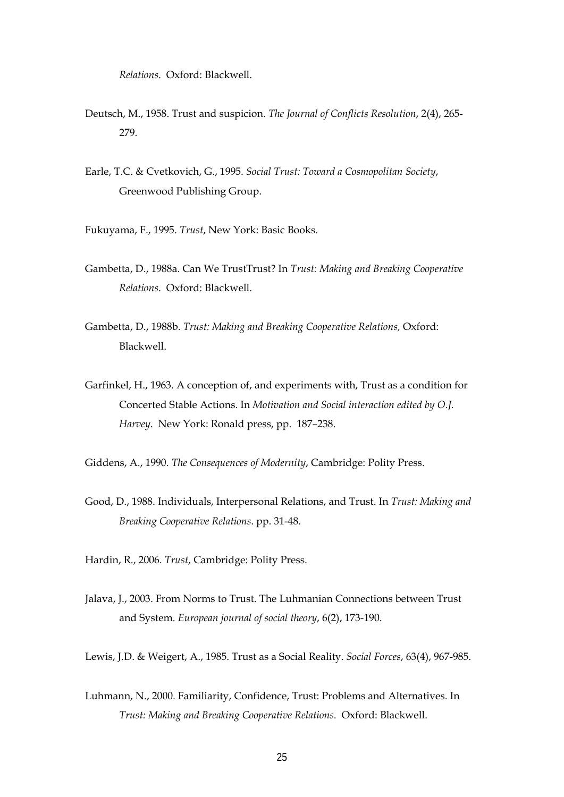*Relations*. Oxford: Blackwell.

- Deutsch, M., 1958. Trust and suspicion. *The Journal of Conflicts Resolution*, 2(4), 265- 279.
- Earle, T.C. & Cvetkovich, G., 1995. *Social Trust: Toward a Cosmopolitan Society*, Greenwood Publishing Group.
- Fukuyama, F., 1995. *Trust*, New York: Basic Books.
- Gambetta, D., 1988a. Can We TrustTrust? In *Trust: Making and Breaking Cooperative Relations*. Oxford: Blackwell.
- Gambetta, D., 1988b. *Trust: Making and Breaking Cooperative Relations,* Oxford: Blackwell.
- Garfinkel, H., 1963. A conception of, and experiments with, Trust as a condition for Concerted Stable Actions. In *Motivation and Social interaction edited by O.J. Harvey*. New York: Ronald press, pp. 187–238.
- Giddens, A., 1990. *The Consequences of Modernity*, Cambridge: Polity Press.
- Good, D., 1988. Individuals, Interpersonal Relations, and Trust. In *Trust: Making and Breaking Cooperative Relations*. pp. 31-48.
- Hardin, R., 2006. *Trust*, Cambridge: Polity Press.
- Jalava, J., 2003. From Norms to Trust. The Luhmanian Connections between Trust and System. *European journal of social theory*, 6(2), 173-190.
- Lewis, J.D. & Weigert, A., 1985. Trust as a Social Reality. *Social Forces*, 63(4), 967-985.
- Luhmann, N., 2000. Familiarity, Confidence, Trust: Problems and Alternatives. In *Trust: Making and Breaking Cooperative Relations*. Oxford: Blackwell.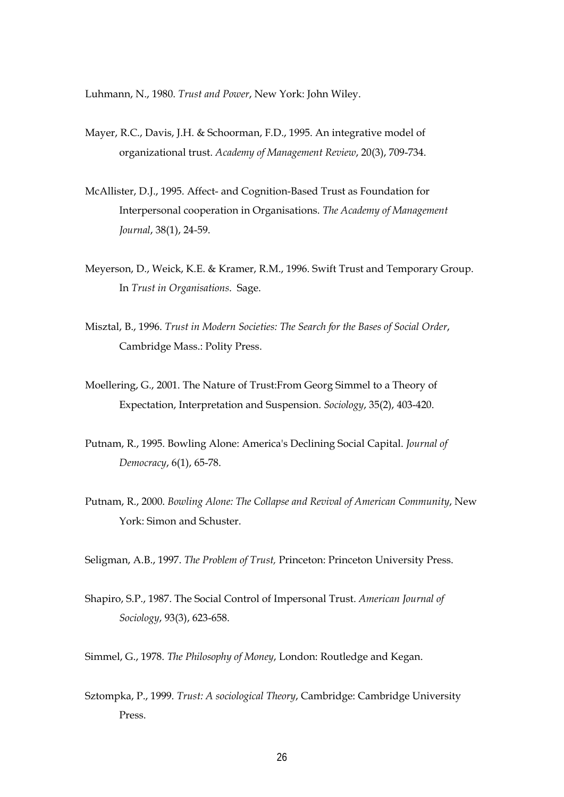Luhmann, N., 1980. *Trust and Power*, New York: John Wiley.

- Mayer, R.C., Davis, J.H. & Schoorman, F.D., 1995. An integrative model of organizational trust. *Academy of Management Review*, 20(3), 709-734.
- McAllister, D.J., 1995. Affect- and Cognition-Based Trust as Foundation for Interpersonal cooperation in Organisations. *The Academy of Management Journal*, 38(1), 24-59.
- Meyerson, D., Weick, K.E. & Kramer, R.M., 1996. Swift Trust and Temporary Group. In *Trust in Organisations*. Sage.
- Misztal, B., 1996. *Trust in Modern Societies: The Search for the Bases of Social Order*, Cambridge Mass.: Polity Press.
- Moellering, G., 2001. The Nature of Trust:From Georg Simmel to a Theory of Expectation, Interpretation and Suspension. *Sociology*, 35(2), 403-420.
- Putnam, R., 1995. Bowling Alone: America's Declining Social Capital. *Journal of Democracy*, 6(1), 65-78.
- Putnam, R., 2000. *Bowling Alone: The Collapse and Revival of American Community*, New York: Simon and Schuster.
- Seligman, A.B., 1997. *The Problem of Trust,* Princeton: Princeton University Press.
- Shapiro, S.P., 1987. The Social Control of Impersonal Trust. *American Journal of Sociology*, 93(3), 623-658.
- Simmel, G., 1978. *The Philosophy of Money*, London: Routledge and Kegan.
- Sztompka, P., 1999. *Trust: A sociological Theory*, Cambridge: Cambridge University Press.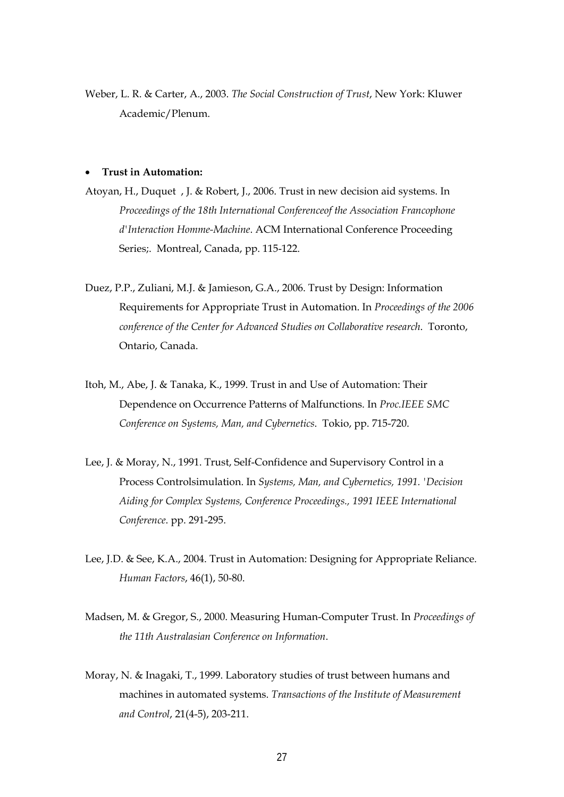Weber, L. R. & Carter, A., 2003. *The Social Construction of Trust*, New York: Kluwer Academic/Plenum.

#### **Trust in Automation:**

- Atoyan, H., Duquet , J. & Robert, J., 2006. Trust in new decision aid systems. In *Proceedings of the 18th International Conferenceof the Association Francophone d'Interaction Homme-Machine*. ACM International Conference Proceeding Series;. Montreal, Canada, pp. 115-122.
- Duez, P.P., Zuliani, M.J. & Jamieson, G.A., 2006. Trust by Design: Information Requirements for Appropriate Trust in Automation. In *Proceedings of the 2006 conference of the Center for Advanced Studies on Collaborative research*. Toronto, Ontario, Canada.
- Itoh, M., Abe, J. & Tanaka, K., 1999. Trust in and Use of Automation: Their Dependence on Occurrence Patterns of Malfunctions. In *Proc.IEEE SMC Conference on Systems, Man, and Cybernetics*. Tokio, pp. 715-720.
- Lee, J. & Moray, N., 1991. Trust, Self-Confidence and Supervisory Control in a Process Controlsimulation. In *Systems, Man, and Cybernetics, 1991. 'Decision Aiding for Complex Systems, Conference Proceedings., 1991 IEEE International Conference*. pp. 291-295.
- Lee, J.D. & See, K.A., 2004. Trust in Automation: Designing for Appropriate Reliance. *Human Factors*, 46(1), 50-80.
- Madsen, M. & Gregor, S., 2000. Measuring Human-Computer Trust. In *Proceedings of the 11th Australasian Conference on Information*.
- Moray, N. & Inagaki, T., 1999. Laboratory studies of trust between humans and machines in automated systems. *Transactions of the Institute of Measurement and Control*, 21(4-5), 203-211.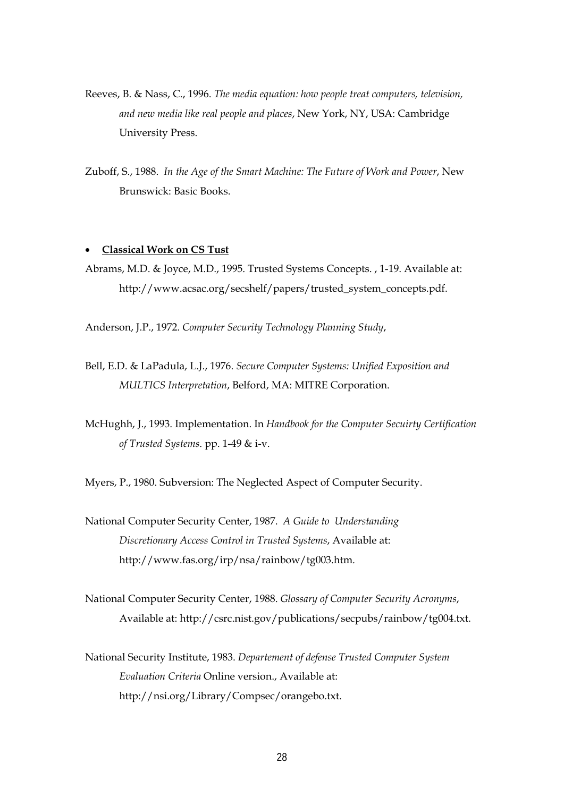- Reeves, B. & Nass, C., 1996. *The media equation: how people treat computers, television, and new media like real people and places*, New York, NY, USA: Cambridge University Press.
- Zuboff, S., 1988. *In the Age of the Smart Machine: The Future of Work and Power*, New Brunswick: Basic Books.

#### **Classical Work on CS Tust**

Abrams, M.D. & Joyce, M.D., 1995. Trusted Systems Concepts. , 1-19. Available at: http://www.acsac.org/secshelf/papers/trusted\_system\_concepts.pdf.

Anderson, J.P., 1972. *Computer Security Technology Planning Study*,

- Bell, E.D. & LaPadula, L.J., 1976. *Secure Computer Systems: Unified Exposition and MULTICS Interpretation*, Belford, MA: MITRE Corporation.
- McHughh, J., 1993. Implementation. In *Handbook for the Computer Secuirty Certification of Trusted Systems*. pp. 1-49 & i-v.

Myers, P., 1980. Subversion: The Neglected Aspect of Computer Security.

- National Computer Security Center, 1987. *A Guide to Understanding Discretionary Access Control in Trusted Systems*, Available at: http://www.fas.org/irp/nsa/rainbow/tg003.htm.
- National Computer Security Center, 1988. *Glossary of Computer Security Acronyms*, Available at: http://csrc.nist.gov/publications/secpubs/rainbow/tg004.txt.
- National Security Institute, 1983. *Departement of defense Trusted Computer System Evaluation Criteria* Online version., Available at: http://nsi.org/Library/Compsec/orangebo.txt.